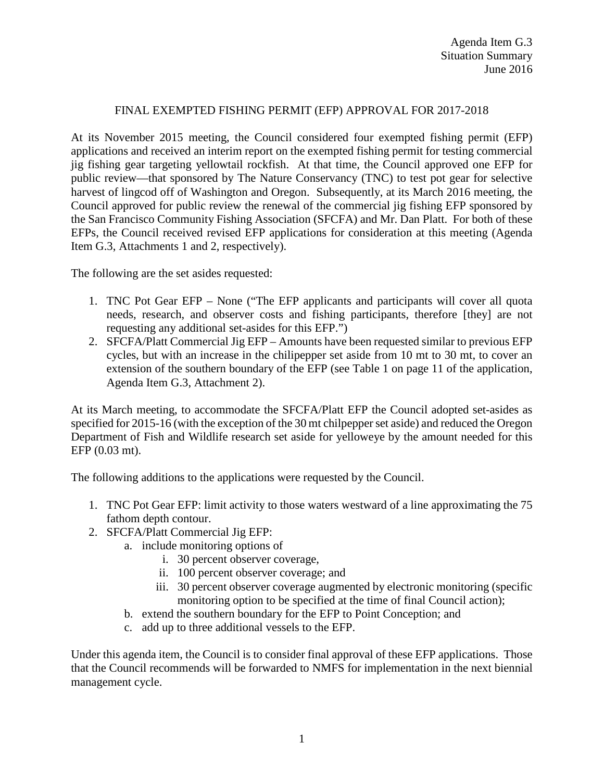## FINAL EXEMPTED FISHING PERMIT (EFP) APPROVAL FOR 2017-2018

At its November 2015 meeting, the Council considered four exempted fishing permit (EFP) applications and received an interim report on the exempted fishing permit for testing commercial jig fishing gear targeting yellowtail rockfish. At that time, the Council approved one EFP for public review—that sponsored by The Nature Conservancy (TNC) to test pot gear for selective harvest of lingcod off of Washington and Oregon. Subsequently, at its March 2016 meeting, the Council approved for public review the renewal of the commercial jig fishing EFP sponsored by the San Francisco Community Fishing Association (SFCFA) and Mr. Dan Platt. For both of these EFPs, the Council received revised EFP applications for consideration at this meeting (Agenda Item G.3, Attachments 1 and 2, respectively).

The following are the set asides requested:

- 1. TNC Pot Gear EFP None ("The EFP applicants and participants will cover all quota needs, research, and observer costs and fishing participants, therefore [they] are not requesting any additional set-asides for this EFP.")
- 2. SFCFA/Platt Commercial Jig EFP Amounts have been requested similar to previous EFP cycles, but with an increase in the chilipepper set aside from 10 mt to 30 mt, to cover an extension of the southern boundary of the EFP (see Table 1 on page 11 of the application, Agenda Item G.3, Attachment 2).

At its March meeting, to accommodate the SFCFA/Platt EFP the Council adopted set-asides as specified for 2015-16 (with the exception of the 30 mt chilpepper set aside) and reduced the Oregon Department of Fish and Wildlife research set aside for yelloweye by the amount needed for this EFP (0.03 mt).

The following additions to the applications were requested by the Council.

- 1. TNC Pot Gear EFP: limit activity to those waters westward of a line approximating the 75 fathom depth contour.
- 2. SFCFA/Platt Commercial Jig EFP:
	- a. include monitoring options of
		- i. 30 percent observer coverage,
		- ii. 100 percent observer coverage; and
		- iii. 30 percent observer coverage augmented by electronic monitoring (specific monitoring option to be specified at the time of final Council action);
	- b. extend the southern boundary for the EFP to Point Conception; and
	- c. add up to three additional vessels to the EFP.

Under this agenda item, the Council is to consider final approval of these EFP applications. Those that the Council recommends will be forwarded to NMFS for implementation in the next biennial management cycle.